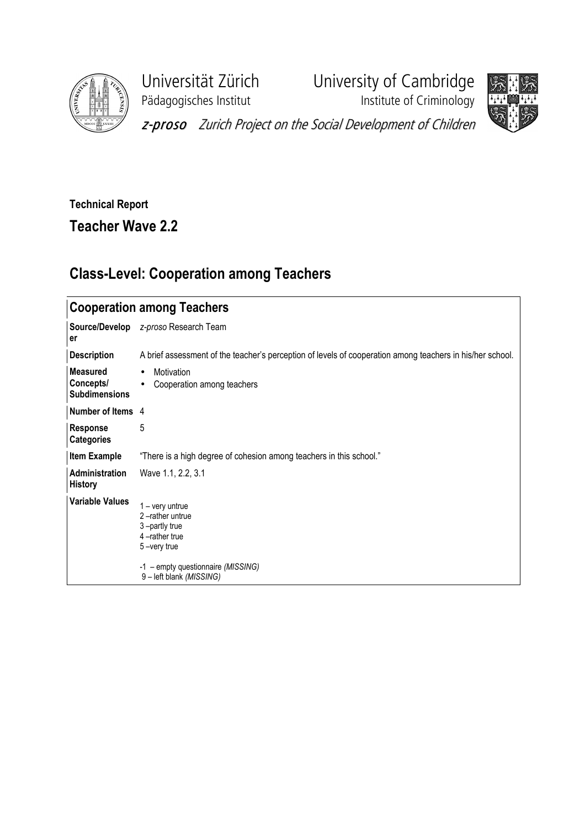

Pädagogisches Institut **Institute of Criminology** 

Universität Zürich University of Cambridge



z-proso Zurich Project on the Social Development of Children

## Technical Report

Teacher Wave 2.2

## Class-Level: Cooperation among Teachers

| <b>Cooperation among Teachers</b>                    |                                                                                                                                                       |  |  |  |  |  |
|------------------------------------------------------|-------------------------------------------------------------------------------------------------------------------------------------------------------|--|--|--|--|--|
| Source/Develop<br>er                                 | z-proso Research Team                                                                                                                                 |  |  |  |  |  |
| <b>Description</b>                                   | A brief assessment of the teacher's perception of levels of cooperation among teachers in his/her school.                                             |  |  |  |  |  |
| <b>Measured</b><br>Concepts/<br><b>Subdimensions</b> | Motivation<br>$\bullet$<br>Cooperation among teachers<br>$\bullet$                                                                                    |  |  |  |  |  |
| Number of Items 4                                    |                                                                                                                                                       |  |  |  |  |  |
| <b>Response</b><br><b>Categories</b>                 | 5                                                                                                                                                     |  |  |  |  |  |
| <b>Item Example</b>                                  | "There is a high degree of cohesion among teachers in this school."                                                                                   |  |  |  |  |  |
| <b>Administration</b><br><b>History</b>              | Wave 1.1, 2.2, 3.1                                                                                                                                    |  |  |  |  |  |
| <b>Variable Values</b>                               | $1 - \text{very}$<br>2-rather untrue<br>3-partly true<br>4-rather true<br>5-very true<br>-1 - empty questionnaire (MISSING)<br>9-left blank (MISSING) |  |  |  |  |  |